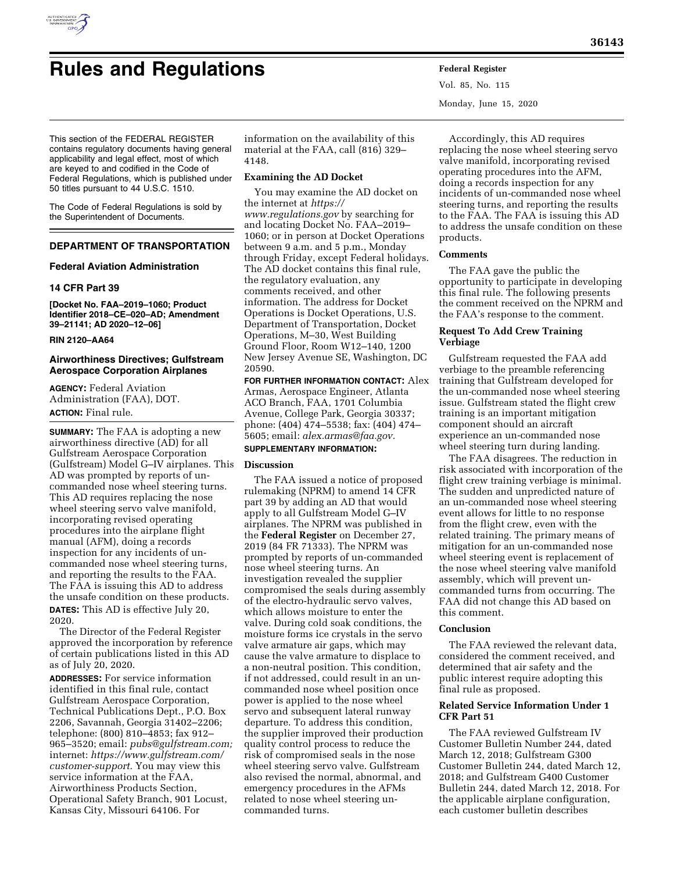

# **Rules and Regulations Federal Register**

Vol. 85, No. 115 Monday, June 15, 2020

This section of the FEDERAL REGISTER contains regulatory documents having general applicability and legal effect, most of which are keyed to and codified in the Code of Federal Regulations, which is published under 50 titles pursuant to 44 U.S.C. 1510.

The Code of Federal Regulations is sold by the Superintendent of Documents.

# **DEPARTMENT OF TRANSPORTATION**

# **Federal Aviation Administration**

# **14 CFR Part 39**

**[Docket No. FAA–2019–1060; Product Identifier 2018–CE–020–AD; Amendment 39–21141; AD 2020–12–06]** 

## **RIN 2120–AA64**

# **Airworthiness Directives; Gulfstream Aerospace Corporation Airplanes**

**AGENCY:** Federal Aviation Administration (FAA), DOT. **ACTION:** Final rule.

**SUMMARY:** The FAA is adopting a new airworthiness directive (AD) for all Gulfstream Aerospace Corporation (Gulfstream) Model G–IV airplanes. This AD was prompted by reports of uncommanded nose wheel steering turns. This AD requires replacing the nose wheel steering servo valve manifold, incorporating revised operating procedures into the airplane flight manual (AFM), doing a records inspection for any incidents of uncommanded nose wheel steering turns, and reporting the results to the FAA. The FAA is issuing this AD to address the unsafe condition on these products. **DATES:** This AD is effective July 20, 2020.

The Director of the Federal Register approved the incorporation by reference of certain publications listed in this AD as of July 20, 2020.

**ADDRESSES:** For service information identified in this final rule, contact Gulfstream Aerospace Corporation, Technical Publications Dept., P.O. Box 2206, Savannah, Georgia 31402–2206; telephone: (800) 810–4853; fax 912– 965–3520; email: *[pubs@gulfstream.com;](mailto:pubs@gulfstream.com)*  internet: *[https://www.gulfstream.com/](https://www.gulfstream.com/customer-support) [customer-support.](https://www.gulfstream.com/customer-support)* You may view this service information at the FAA, Airworthiness Products Section, Operational Safety Branch, 901 Locust, Kansas City, Missouri 64106. For

information on the availability of this material at the FAA, call (816) 329– 4148.

# **Examining the AD Docket**

You may examine the AD docket on the internet at *[https://](https://www.regulations.gov) [www.regulations.gov](https://www.regulations.gov)* by searching for and locating Docket No. FAA–2019– 1060; or in person at Docket Operations between 9 a.m. and 5 p.m., Monday through Friday, except Federal holidays. The AD docket contains this final rule, the regulatory evaluation, any comments received, and other information. The address for Docket Operations is Docket Operations, U.S. Department of Transportation, Docket Operations, M–30, West Building Ground Floor, Room W12–140, 1200 New Jersey Avenue SE, Washington, DC 20590.

**FOR FURTHER INFORMATION CONTACT:** Alex Armas, Aerospace Engineer, Atlanta ACO Branch, FAA, 1701 Columbia Avenue, College Park, Georgia 30337; phone: (404) 474–5538; fax: (404) 474– 5605; email: *[alex.armas@faa.gov.](mailto:alex.armas@faa.gov)*  **SUPPLEMENTARY INFORMATION:** 

# **Discussion**

The FAA issued a notice of proposed rulemaking (NPRM) to amend 14 CFR part 39 by adding an AD that would apply to all Gulfstream Model G–IV airplanes. The NPRM was published in the **Federal Register** on December 27, 2019 (84 FR 71333). The NPRM was prompted by reports of un-commanded nose wheel steering turns. An investigation revealed the supplier compromised the seals during assembly of the electro-hydraulic servo valves, which allows moisture to enter the valve. During cold soak conditions, the moisture forms ice crystals in the servo valve armature air gaps, which may cause the valve armature to displace to a non-neutral position. This condition, if not addressed, could result in an uncommanded nose wheel position once power is applied to the nose wheel servo and subsequent lateral runway departure. To address this condition, the supplier improved their production quality control process to reduce the risk of compromised seals in the nose wheel steering servo valve. Gulfstream also revised the normal, abnormal, and emergency procedures in the AFMs related to nose wheel steering uncommanded turns.

Accordingly, this AD requires replacing the nose wheel steering servo valve manifold, incorporating revised operating procedures into the AFM, doing a records inspection for any incidents of un-commanded nose wheel steering turns, and reporting the results to the FAA. The FAA is issuing this AD to address the unsafe condition on these products.

# **Comments**

The FAA gave the public the opportunity to participate in developing this final rule. The following presents the comment received on the NPRM and the FAA's response to the comment.

# **Request To Add Crew Training Verbiage**

Gulfstream requested the FAA add verbiage to the preamble referencing training that Gulfstream developed for the un-commanded nose wheel steering issue. Gulfstream stated the flight crew training is an important mitigation component should an aircraft experience an un-commanded nose wheel steering turn during landing.

The FAA disagrees. The reduction in risk associated with incorporation of the flight crew training verbiage is minimal. The sudden and unpredicted nature of an un-commanded nose wheel steering event allows for little to no response from the flight crew, even with the related training. The primary means of mitigation for an un-commanded nose wheel steering event is replacement of the nose wheel steering valve manifold assembly, which will prevent uncommanded turns from occurring. The FAA did not change this AD based on this comment.

# **Conclusion**

The FAA reviewed the relevant data, considered the comment received, and determined that air safety and the public interest require adopting this final rule as proposed.

# **Related Service Information Under 1 CFR Part 51**

The FAA reviewed Gulfstream IV Customer Bulletin Number 244, dated March 12, 2018; Gulfstream G300 Customer Bulletin 244, dated March 12, 2018; and Gulfstream G400 Customer Bulletin 244, dated March 12, 2018. For the applicable airplane configuration, each customer bulletin describes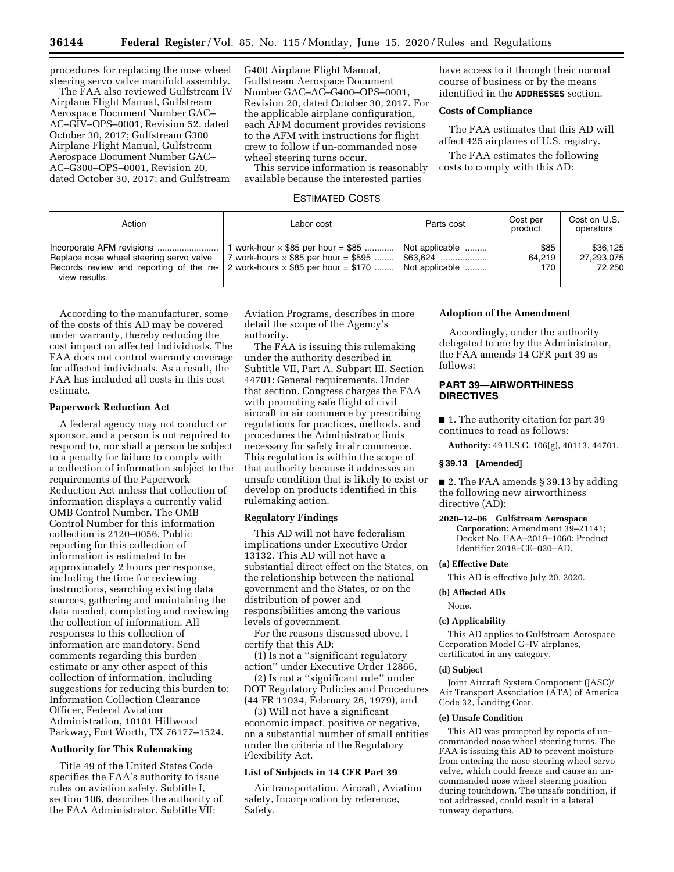procedures for replacing the nose wheel steering servo valve manifold assembly.

The FAA also reviewed Gulfstream IV Airplane Flight Manual, Gulfstream Aerospace Document Number GAC– AC–GIV–OPS–0001, Revision 52, dated October 30, 2017; Gulfstream G300 Airplane Flight Manual, Gulfstream Aerospace Document Number GAC– AC–G300–OPS–0001, Revision 20, dated October 30, 2017; and Gulfstream

G400 Airplane Flight Manual, Gulfstream Aerospace Document Number GAC–AC–G400–OPS–0001, Revision 20, dated October 30, 2017. For the applicable airplane configuration, each AFM document provides revisions to the AFM with instructions for flight crew to follow if un-commanded nose wheel steering turns occur.

This service information is reasonably available because the interested parties

# ESTIMATED COSTS

have access to it through their normal course of business or by the means identified in the **ADDRESSES** section.

# **Costs of Compliance**

The FAA estimates that this AD will affect 425 airplanes of U.S. registry.

The FAA estimates the following costs to comply with this AD:

| Action                                                                                              | Labor cost                                                                                                                              | Parts cost                                       | Cost per<br>product   | Cost on U.S.<br>operators        |
|-----------------------------------------------------------------------------------------------------|-----------------------------------------------------------------------------------------------------------------------------------------|--------------------------------------------------|-----------------------|----------------------------------|
| Replace nose wheel steering servo valve<br>Records review and reporting of the re-<br>view results. | 1 work-hour $\times$ \$85 per hour = \$85<br>7 work-hours $\times$ \$85 per hour = \$595<br>2 work-hours $\times$ \$85 per hour = \$170 | Not applicable<br>。\$63.624  !<br>Not applicable | \$85<br>64.219<br>170 | \$36,125<br>27,293,075<br>72.250 |

According to the manufacturer, some of the costs of this AD may be covered under warranty, thereby reducing the cost impact on affected individuals. The FAA does not control warranty coverage for affected individuals. As a result, the FAA has included all costs in this cost estimate.

## **Paperwork Reduction Act**

A federal agency may not conduct or sponsor, and a person is not required to respond to, nor shall a person be subject to a penalty for failure to comply with a collection of information subject to the requirements of the Paperwork Reduction Act unless that collection of information displays a currently valid OMB Control Number. The OMB Control Number for this information collection is 2120–0056. Public reporting for this collection of information is estimated to be approximately 2 hours per response, including the time for reviewing instructions, searching existing data sources, gathering and maintaining the data needed, completing and reviewing the collection of information. All responses to this collection of information are mandatory. Send comments regarding this burden estimate or any other aspect of this collection of information, including suggestions for reducing this burden to: Information Collection Clearance Officer, Federal Aviation Administration, 10101 Hillwood Parkway, Fort Worth, TX 76177–1524.

# **Authority for This Rulemaking**

Title 49 of the United States Code specifies the FAA's authority to issue rules on aviation safety. Subtitle I, section 106, describes the authority of the FAA Administrator. Subtitle VII:

Aviation Programs, describes in more detail the scope of the Agency's authority.

The FAA is issuing this rulemaking under the authority described in Subtitle VII, Part A, Subpart III, Section 44701: General requirements. Under that section, Congress charges the FAA with promoting safe flight of civil aircraft in air commerce by prescribing regulations for practices, methods, and procedures the Administrator finds necessary for safety in air commerce. This regulation is within the scope of that authority because it addresses an unsafe condition that is likely to exist or develop on products identified in this rulemaking action.

## **Regulatory Findings**

This AD will not have federalism implications under Executive Order 13132. This AD will not have a substantial direct effect on the States, on the relationship between the national government and the States, or on the distribution of power and responsibilities among the various levels of government.

For the reasons discussed above, I certify that this AD:

(1) Is not a ''significant regulatory action'' under Executive Order 12866,

(2) Is not a ''significant rule'' under DOT Regulatory Policies and Procedures (44 FR 11034, February 26, 1979), and

(3) Will not have a significant economic impact, positive or negative, on a substantial number of small entities under the criteria of the Regulatory Flexibility Act.

## **List of Subjects in 14 CFR Part 39**

Air transportation, Aircraft, Aviation safety, Incorporation by reference, Safety.

## **Adoption of the Amendment**

Accordingly, under the authority delegated to me by the Administrator, the FAA amends 14 CFR part 39 as follows:

# **PART 39—AIRWORTHINESS DIRECTIVES**

■ 1. The authority citation for part 39 continues to read as follows:

**Authority:** 49 U.S.C. 106(g), 40113, 44701.

#### **§ 39.13 [Amended]**

■ 2. The FAA amends § 39.13 by adding the following new airworthiness directive (AD):

**2020–12–06 Gulfstream Aerospace Corporation:** Amendment 39–21141; Docket No. FAA–2019–1060; Product Identifier 2018–CE–020–AD.

# **(a) Effective Date**

This AD is effective July 20, 2020.

## **(b) Affected ADs**

None.

#### **(c) Applicability**

This AD applies to Gulfstream Aerospace Corporation Model G–IV airplanes, certificated in any category.

#### **(d) Subject**

Joint Aircraft System Component (JASC)/ Air Transport Association (ATA) of America Code 32, Landing Gear.

#### **(e) Unsafe Condition**

This AD was prompted by reports of uncommanded nose wheel steering turns. The FAA is issuing this AD to prevent moisture from entering the nose steering wheel servo valve, which could freeze and cause an uncommanded nose wheel steering position during touchdown. The unsafe condition, if not addressed, could result in a lateral runway departure.